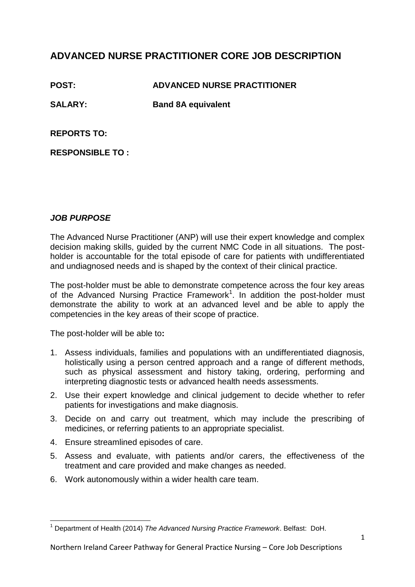# **ADVANCED NURSE PRACTITIONER CORE JOB DESCRIPTION**

**POST: ADVANCED NURSE PRACTITIONER**

**SALARY: Band 8A equivalent** 

**REPORTS TO:**

**RESPONSIBLE TO :**

# *JOB PURPOSE*

The Advanced Nurse Practitioner (ANP) will use their expert knowledge and complex decision making skills, guided by the current NMC Code in all situations. The postholder is accountable for the total episode of care for patients with undifferentiated and undiagnosed needs and is shaped by the context of their clinical practice.

The post-holder must be able to demonstrate competence across the four key areas of the Advanced Nursing Practice Framework<sup>1</sup>. In addition the post-holder must demonstrate the ability to work at an advanced level and be able to apply the competencies in the key areas of their scope of practice.

The post-holder will be able to**:**

- 1. Assess individuals, families and populations with an undifferentiated diagnosis, holistically using a person centred approach and a range of different methods, such as physical assessment and history taking, ordering, performing and interpreting diagnostic tests or advanced health needs assessments.
- 2. Use their expert knowledge and clinical judgement to decide whether to refer patients for investigations and make diagnosis.
- 3. Decide on and carry out treatment, which may include the prescribing of medicines, or referring patients to an appropriate specialist.
- 4. Ensure streamlined episodes of care.
- 5. Assess and evaluate, with patients and/or carers, the effectiveness of the treatment and care provided and make changes as needed.
- 6. Work autonomously within a wider health care team.

 $\overline{\phantom{a}}$ <sup>1</sup> Department of Health (2014) *The Advanced Nursing Practice Framework*. Belfast: DoH.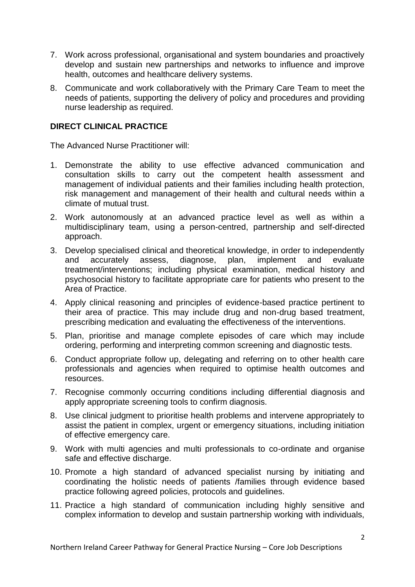- 7. Work across professional, organisational and system boundaries and proactively develop and sustain new partnerships and networks to influence and improve health, outcomes and healthcare delivery systems.
- 8. Communicate and work collaboratively with the Primary Care Team to meet the needs of patients, supporting the delivery of policy and procedures and providing nurse leadership as required.

## **DIRECT CLINICAL PRACTICE**

The Advanced Nurse Practitioner will:

- 1. Demonstrate the ability to use effective advanced communication and consultation skills to carry out the competent health assessment and management of individual patients and their families including health protection, risk management and management of their health and cultural needs within a climate of mutual trust.
- 2. Work autonomously at an advanced practice level as well as within a multidisciplinary team, using a person-centred, partnership and self-directed approach.
- 3. Develop specialised clinical and theoretical knowledge, in order to independently and accurately assess, diagnose, plan, implement and evaluate treatment/interventions; including physical examination, medical history and psychosocial history to facilitate appropriate care for patients who present to the Area of Practice.
- 4. Apply clinical reasoning and principles of evidence-based practice pertinent to their area of practice. This may include drug and non-drug based treatment, prescribing medication and evaluating the effectiveness of the interventions.
- 5. Plan, prioritise and manage complete episodes of care which may include ordering, performing and interpreting common screening and diagnostic tests.
- 6. Conduct appropriate follow up, delegating and referring on to other health care professionals and agencies when required to optimise health outcomes and resources.
- 7. Recognise commonly occurring conditions including differential diagnosis and apply appropriate screening tools to confirm diagnosis.
- 8. Use clinical judgment to prioritise health problems and intervene appropriately to assist the patient in complex, urgent or emergency situations, including initiation of effective emergency care.
- 9. Work with multi agencies and multi professionals to co-ordinate and organise safe and effective discharge.
- 10. Promote a high standard of advanced specialist nursing by initiating and coordinating the holistic needs of patients /families through evidence based practice following agreed policies, protocols and guidelines.
- 11. Practice a high standard of communication including highly sensitive and complex information to develop and sustain partnership working with individuals,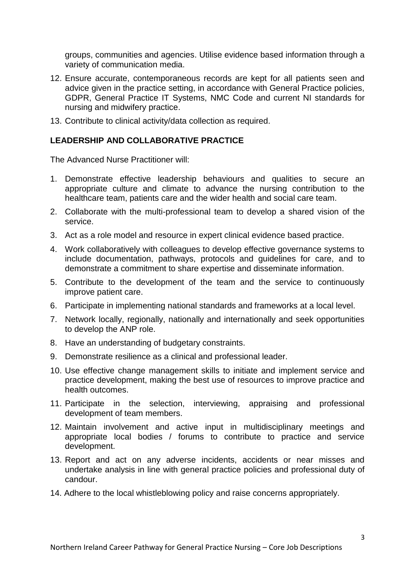groups, communities and agencies. Utilise evidence based information through a variety of communication media.

- 12. Ensure accurate, contemporaneous records are kept for all patients seen and advice given in the practice setting, in accordance with General Practice policies, GDPR, General Practice IT Systems, NMC Code and current NI standards for nursing and midwifery practice.
- 13. Contribute to clinical activity/data collection as required.

## **LEADERSHIP AND COLLABORATIVE PRACTICE**

The Advanced Nurse Practitioner will:

- 1. Demonstrate effective leadership behaviours and qualities to secure an appropriate culture and climate to advance the nursing contribution to the healthcare team, patients care and the wider health and social care team.
- 2. Collaborate with the multi-professional team to develop a shared vision of the service.
- 3. Act as a role model and resource in expert clinical evidence based practice.
- 4. Work collaboratively with colleagues to develop effective governance systems to include documentation, pathways, protocols and guidelines for care, and to demonstrate a commitment to share expertise and disseminate information.
- 5. Contribute to the development of the team and the service to continuously improve patient care.
- 6. Participate in implementing national standards and frameworks at a local level.
- 7. Network locally, regionally, nationally and internationally and seek opportunities to develop the ANP role.
- 8. Have an understanding of budgetary constraints.
- 9. Demonstrate resilience as a clinical and professional leader.
- 10. Use effective change management skills to initiate and implement service and practice development, making the best use of resources to improve practice and health outcomes.
- 11. Participate in the selection, interviewing, appraising and professional development of team members.
- 12. Maintain involvement and active input in multidisciplinary meetings and appropriate local bodies / forums to contribute to practice and service development.
- 13. Report and act on any adverse incidents, accidents or near misses and undertake analysis in line with general practice policies and professional duty of candour.
- 14. Adhere to the local whistleblowing policy and raise concerns appropriately.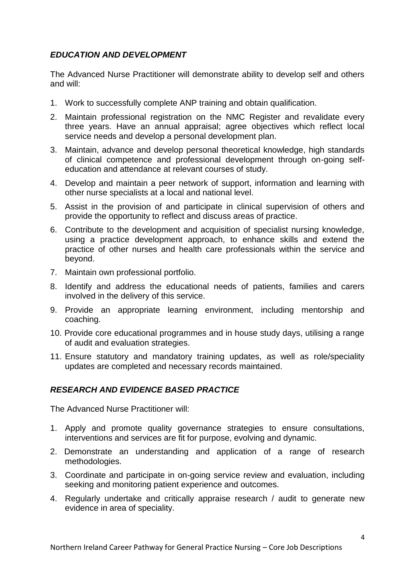## *EDUCATION AND DEVELOPMENT*

The Advanced Nurse Practitioner will demonstrate ability to develop self and others and will:

- 1. Work to successfully complete ANP training and obtain qualification.
- 2. Maintain professional registration on the NMC Register and revalidate every three years. Have an annual appraisal; agree objectives which reflect local service needs and develop a personal development plan.
- 3. Maintain, advance and develop personal theoretical knowledge, high standards of clinical competence and professional development through on-going selfeducation and attendance at relevant courses of study.
- 4. Develop and maintain a peer network of support, information and learning with other nurse specialists at a local and national level.
- 5. Assist in the provision of and participate in clinical supervision of others and provide the opportunity to reflect and discuss areas of practice.
- 6. Contribute to the development and acquisition of specialist nursing knowledge, using a practice development approach, to enhance skills and extend the practice of other nurses and health care professionals within the service and beyond.
- 7. Maintain own professional portfolio.
- 8. Identify and address the educational needs of patients, families and carers involved in the delivery of this service.
- 9. Provide an appropriate learning environment, including mentorship and coaching.
- 10. Provide core educational programmes and in house study days, utilising a range of audit and evaluation strategies.
- 11. Ensure statutory and mandatory training updates, as well as role/speciality updates are completed and necessary records maintained.

# *RESEARCH AND EVIDENCE BASED PRACTICE*

The Advanced Nurse Practitioner will:

- 1. Apply and promote quality governance strategies to ensure consultations, interventions and services are fit for purpose, evolving and dynamic.
- 2. Demonstrate an understanding and application of a range of research methodologies.
- 3. Coordinate and participate in on-going service review and evaluation, including seeking and monitoring patient experience and outcomes.
- 4. Regularly undertake and critically appraise research / audit to generate new evidence in area of speciality.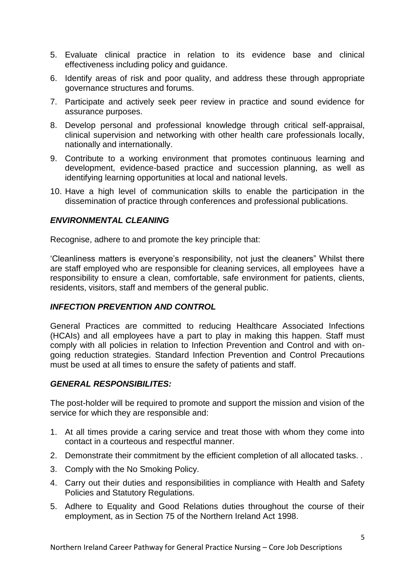- 5. Evaluate clinical practice in relation to its evidence base and clinical effectiveness including policy and guidance.
- 6. Identify areas of risk and poor quality, and address these through appropriate governance structures and forums.
- 7. Participate and actively seek peer review in practice and sound evidence for assurance purposes.
- 8. Develop personal and professional knowledge through critical self-appraisal, clinical supervision and networking with other health care professionals locally, nationally and internationally.
- 9. Contribute to a working environment that promotes continuous learning and development, evidence-based practice and succession planning, as well as identifying learning opportunities at local and national levels.
- 10. Have a high level of communication skills to enable the participation in the dissemination of practice through conferences and professional publications.

## *ENVIRONMENTAL CLEANING*

Recognise, adhere to and promote the key principle that:

'Cleanliness matters is everyone's responsibility, not just the cleaners" Whilst there are staff employed who are responsible for cleaning services, all employees have a responsibility to ensure a clean, comfortable, safe environment for patients, clients, residents, visitors, staff and members of the general public.

## *INFECTION PREVENTION AND CONTROL*

General Practices are committed to reducing Healthcare Associated Infections (HCAIs) and all employees have a part to play in making this happen. Staff must comply with all policies in relation to Infection Prevention and Control and with ongoing reduction strategies. Standard Infection Prevention and Control Precautions must be used at all times to ensure the safety of patients and staff.

## *GENERAL RESPONSIBILITES:*

The post-holder will be required to promote and support the mission and vision of the service for which they are responsible and:

- 1. At all times provide a caring service and treat those with whom they come into contact in a courteous and respectful manner.
- 2. Demonstrate their commitment by the efficient completion of all allocated tasks. .
- 3. Comply with the No Smoking Policy.
- 4. Carry out their duties and responsibilities in compliance with Health and Safety Policies and Statutory Regulations.
- 5. Adhere to Equality and Good Relations duties throughout the course of their employment, as in Section 75 of the Northern Ireland Act 1998.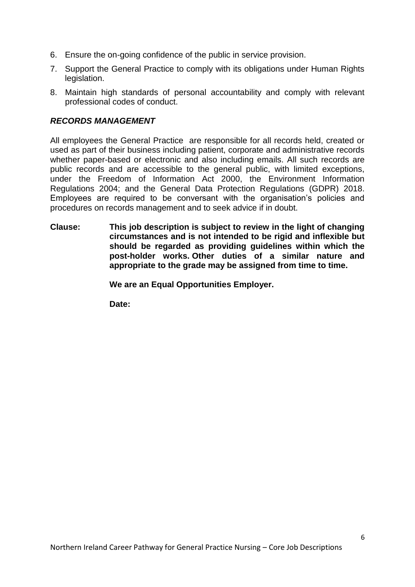- 6. Ensure the on-going confidence of the public in service provision.
- 7. Support the General Practice to comply with its obligations under Human Rights legislation.
- 8. Maintain high standards of personal accountability and comply with relevant professional codes of conduct.

## *RECORDS MANAGEMENT*

All employees the General Practice are responsible for all records held, created or used as part of their business including patient, corporate and administrative records whether paper-based or electronic and also including emails. All such records are public records and are accessible to the general public, with limited exceptions, under the Freedom of Information Act 2000, the Environment Information Regulations 2004; and the General Data Protection Regulations (GDPR) 2018. Employees are required to be conversant with the organisation's policies and procedures on records management and to seek advice if in doubt.

**Clause: This job description is subject to review in the light of changing circumstances and is not intended to be rigid and inflexible but should be regarded as providing guidelines within which the post-holder works. Other duties of a similar nature and appropriate to the grade may be assigned from time to time.**

**We are an Equal Opportunities Employer.**

**Date:**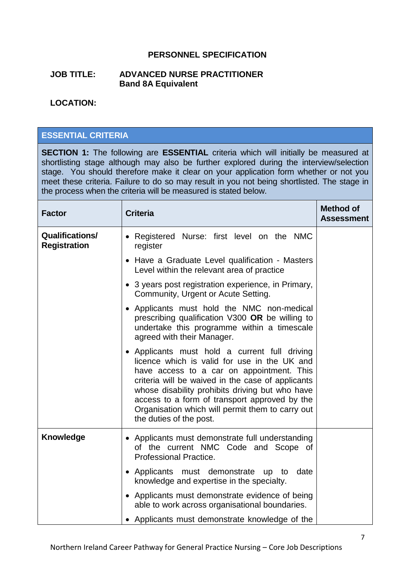## **PERSONNEL SPECIFICATION**

#### **JOB TITLE: ADVANCED NURSE PRACTITIONER Band 8A Equivalent**

#### **LOCATION:**

## **ESSENTIAL CRITERIA**

**SECTION 1:** The following are **ESSENTIAL** criteria which will initially be measured at shortlisting stage although may also be further explored during the interview/selection stage. You should therefore make it clear on your application form whether or not you meet these criteria. Failure to do so may result in you not being shortlisted. The stage in the process when the criteria will be measured is stated below.

| <b>Factor</b>                                 | <b>Criteria</b>                                                                                                                                                                                                                                                                                                                                                                    | <b>Method of</b><br><b>Assessment</b> |
|-----------------------------------------------|------------------------------------------------------------------------------------------------------------------------------------------------------------------------------------------------------------------------------------------------------------------------------------------------------------------------------------------------------------------------------------|---------------------------------------|
| <b>Qualifications/</b><br><b>Registration</b> | • Registered Nurse: first level on the NMC<br>register                                                                                                                                                                                                                                                                                                                             |                                       |
|                                               | • Have a Graduate Level qualification - Masters<br>Level within the relevant area of practice                                                                                                                                                                                                                                                                                      |                                       |
|                                               | • 3 years post registration experience, in Primary,<br>Community, Urgent or Acute Setting.                                                                                                                                                                                                                                                                                         |                                       |
|                                               | • Applicants must hold the NMC non-medical<br>prescribing qualification V300 OR be willing to<br>undertake this programme within a timescale<br>agreed with their Manager.                                                                                                                                                                                                         |                                       |
|                                               | • Applicants must hold a current full driving<br>licence which is valid for use in the UK and<br>have access to a car on appointment. This<br>criteria will be waived in the case of applicants<br>whose disability prohibits driving but who have<br>access to a form of transport approved by the<br>Organisation which will permit them to carry out<br>the duties of the post. |                                       |
| Knowledge                                     | • Applicants must demonstrate full understanding<br>of the current NMC Code and Scope of<br><b>Professional Practice.</b>                                                                                                                                                                                                                                                          |                                       |
|                                               | • Applicants must demonstrate up to<br>date<br>knowledge and expertise in the specialty.                                                                                                                                                                                                                                                                                           |                                       |
|                                               | • Applicants must demonstrate evidence of being<br>able to work across organisational boundaries.                                                                                                                                                                                                                                                                                  |                                       |
|                                               | • Applicants must demonstrate knowledge of the                                                                                                                                                                                                                                                                                                                                     |                                       |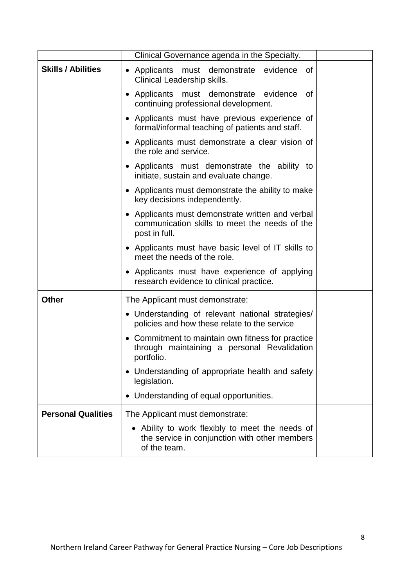|                           | Clinical Governance agenda in the Specialty.                                                                       |
|---------------------------|--------------------------------------------------------------------------------------------------------------------|
| <b>Skills / Abilities</b> | evidence<br>• Applicants must demonstrate<br>0f<br>Clinical Leadership skills.                                     |
|                           | • Applicants must demonstrate evidence<br>0f<br>continuing professional development.                               |
|                           | • Applicants must have previous experience of<br>formal/informal teaching of patients and staff.                   |
|                           | • Applicants must demonstrate a clear vision of<br>the role and service.                                           |
|                           | • Applicants must demonstrate the ability to<br>initiate, sustain and evaluate change.                             |
|                           | • Applicants must demonstrate the ability to make<br>key decisions independently.                                  |
|                           | • Applicants must demonstrate written and verbal<br>communication skills to meet the needs of the<br>post in full. |
|                           | • Applicants must have basic level of IT skills to<br>meet the needs of the role.                                  |
|                           | • Applicants must have experience of applying<br>research evidence to clinical practice.                           |
| <b>Other</b>              | The Applicant must demonstrate:                                                                                    |
|                           | • Understanding of relevant national strategies/<br>policies and how these relate to the service                   |
|                           | Commitment to maintain own fitness for practice<br>through maintaining a personal Revalidation<br>portfolio.       |
|                           | • Understanding of appropriate health and safety<br>legislation.                                                   |
|                           | Understanding of equal opportunities.                                                                              |
| <b>Personal Qualities</b> | The Applicant must demonstrate:                                                                                    |
|                           | • Ability to work flexibly to meet the needs of<br>the service in conjunction with other members<br>of the team.   |